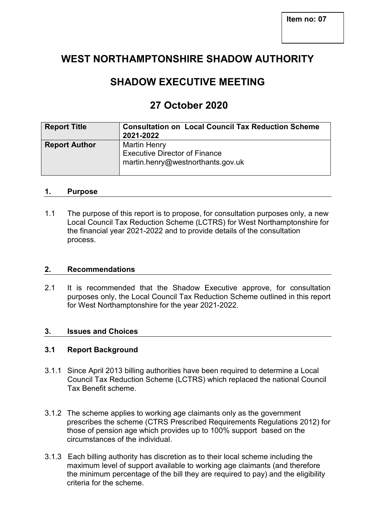# **WEST NORTHAMPTONSHIRE SHADOW AUTHORITY**

# **SHADOW EXECUTIVE MEETING**

# **27 October 2020**

| <b>Report Title</b>  | <b>Consultation on Local Council Tax Reduction Scheme</b><br>2021-2022                           |
|----------------------|--------------------------------------------------------------------------------------------------|
| <b>Report Author</b> | <b>Martin Henry</b><br><b>Executive Director of Finance</b><br>martin.henry@westnorthants.gov.uk |

#### **1. Purpose**

1.1 The purpose of this report is to propose, for consultation purposes only, a new Local Council Tax Reduction Scheme (LCTRS) for West Northamptonshire for the financial year 2021-2022 and to provide details of the consultation process.

#### **2. Recommendations**

2.1 It is recommended that the Shadow Executive approve, for consultation purposes only, the Local Council Tax Reduction Scheme outlined in this report for West Northamptonshire for the year 2021-2022.

# **3. Issues and Choices**

## **3.1 Report Background**

- 3.1.1 Since April 2013 billing authorities have been required to determine a Local Council Tax Reduction Scheme (LCTRS) which replaced the national Council Tax Benefit scheme.
- 3.1.2 The scheme applies to working age claimants only as the government prescribes the scheme (CTRS Prescribed Requirements Regulations 2012) for those of pension age which provides up to 100% support based on the circumstances of the individual.
- 3.1.3 Each billing authority has discretion as to their local scheme including the maximum level of support available to working age claimants (and therefore the minimum percentage of the bill they are required to pay) and the eligibility criteria for the scheme.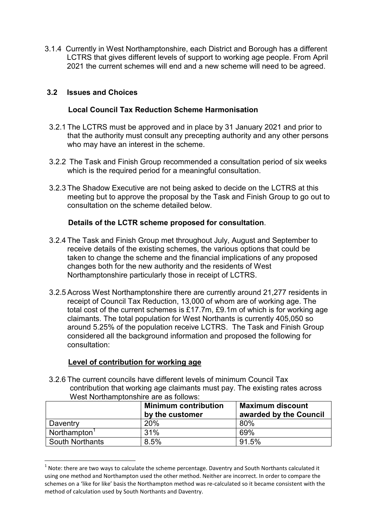3.1.4 Currently in West Northamptonshire, each District and Borough has a different LCTRS that gives different levels of support to working age people. From April 2021 the current schemes will end and a new scheme will need to be agreed.

## **3.2 Issues and Choices**

### **Local Council Tax Reduction Scheme Harmonisation**

- 3.2.1 The LCTRS must be approved and in place by 31 January 2021 and prior to that the authority must consult any precepting authority and any other persons who may have an interest in the scheme.
- 3.2.2 The Task and Finish Group recommended a consultation period of six weeks which is the required period for a meaningful consultation.
- 3.2.3 The Shadow Executive are not being asked to decide on the LCTRS at this meeting but to approve the proposal by the Task and Finish Group to go out to consultation on the scheme detailed below.

## **Details of the LCTR scheme proposed for consultation**.

- 3.2.4 The Task and Finish Group met throughout July, August and September to receive details of the existing schemes, the various options that could be taken to change the scheme and the financial implications of any proposed changes both for the new authority and the residents of West Northamptonshire particularly those in receipt of LCTRS.
- 3.2.5 Across West Northamptonshire there are currently around 21,277 residents in receipt of Council Tax Reduction, 13,000 of whom are of working age. The total cost of the current schemes is £17.7m, £9.1m of which is for working age claimants. The total population for West Northants is currently 405,050 so around 5.25% of the population receive LCTRS. The Task and Finish Group considered all the background information and proposed the following for consultation:

#### **Level of contribution for working age**

 $\overline{a}$ 

 3.2.6 The current councils have different levels of minimum Council Tax contribution that working age claimants must pay. The existing rates across West Northamptonshire are as follows:

|                          | <b>Minimum contribution</b><br>by the customer | <b>Maximum discount</b><br>awarded by the Council |
|--------------------------|------------------------------------------------|---------------------------------------------------|
| Daventry                 | 20%                                            | 80%                                               |
| Northampton <sup>1</sup> | 31%                                            | 69%                                               |
| <b>South Northants</b>   | 8.5%                                           | 91.5%                                             |

 $^1$  Note: there are two ways to calculate the scheme percentage. Daventry and South Northants calculated it using one method and Northampton used the other method. Neither are incorrect. In order to compare the schemes on a 'like for like' basis the Northampton method was re-calculated so it became consistent with the method of calculation used by South Northants and Daventry.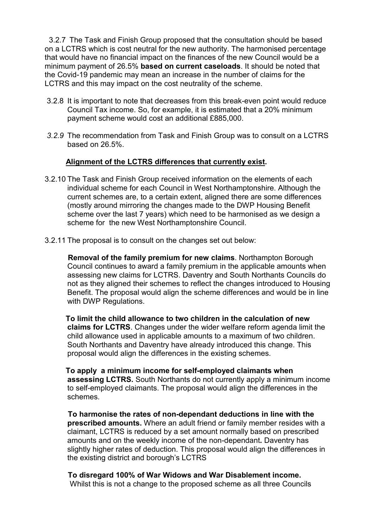3.2.7 The Task and Finish Group proposed that the consultation should be based on a LCTRS which is cost neutral for the new authority. The harmonised percentage that would have no financial impact on the finances of the new Council would be a minimum payment of 26.5% **based on current caseloads**. It should be noted that the Covid-19 pandemic may mean an increase in the number of claims for the LCTRS and this may impact on the cost neutrality of the scheme.

- 3.2.8 It is important to note that decreases from this break-even point would reduce Council Tax income. So, for example, it is estimated that a 20% minimum payment scheme would cost an additional £885,000.
- *3.2.9* The recommendation from Task and Finish Group was to consult on a LCTRS based on 26.5%.

## **Alignment of the LCTRS differences that currently exist.**

- 3.2.10 The Task and Finish Group received information on the elements of each individual scheme for each Council in West Northamptonshire. Although the current schemes are, to a certain extent, aligned there are some differences (mostly around mirroring the changes made to the DWP Housing Benefit scheme over the last 7 years) which need to be harmonised as we design a scheme for the new West Northamptonshire Council.
- 3.2.11 The proposal is to consult on the changes set out below:

 **Removal of the family premium for new claims**. Northampton Borough Council continues to award a family premium in the applicable amounts when assessing new claims for LCTRS. Daventry and South Northants Councils do not as they aligned their schemes to reflect the changes introduced to Housing Benefit. The proposal would align the scheme differences and would be in line with DWP Regulations.

 **To limit the child allowance to two children in the calculation of new claims for LCTRS**. Changes under the wider welfare reform agenda limit the child allowance used in applicable amounts to a maximum of two children. South Northants and Daventry have already introduced this change. This proposal would align the differences in the existing schemes.

 **To apply a minimum income for self-employed claimants when assessing LCTRS.** South Northants do not currently apply a minimum income to self-employed claimants. The proposal would align the differences in the schemes.

 **To harmonise the rates of non-dependant deductions in line with the prescribed amounts.** Where an adult friend or family member resides with a claimant, LCTRS is reduced by a set amount normally based on prescribed amounts and on the weekly income of the non-dependant**.** Daventry has slightly higher rates of deduction. This proposal would align the differences in the existing district and borough's LCTRS

 **To disregard 100% of War Widows and War Disablement income.**  Whilst this is not a change to the proposed scheme as all three Councils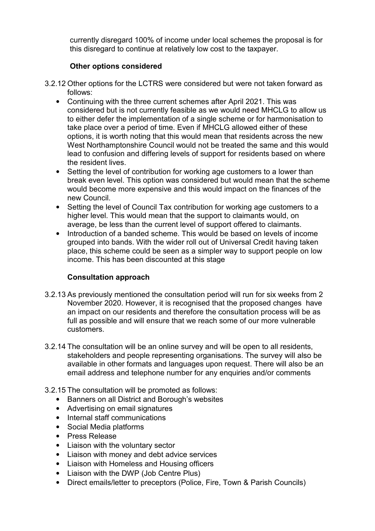currently disregard 100% of income under local schemes the proposal is for this disregard to continue at relatively low cost to the taxpayer.

# **Other options considered**

- 3.2.12 Other options for the LCTRS were considered but were not taken forward as follows:
	- Continuing with the three current schemes after April 2021. This was considered but is not currently feasible as we would need MHCLG to allow us to either defer the implementation of a single scheme or for harmonisation to take place over a period of time. Even if MHCLG allowed either of these options, it is worth noting that this would mean that residents across the new West Northamptonshire Council would not be treated the same and this would lead to confusion and differing levels of support for residents based on where the resident lives.
	- Setting the level of contribution for working age customers to a lower than break even level. This option was considered but would mean that the scheme would become more expensive and this would impact on the finances of the new Council.
	- Setting the level of Council Tax contribution for working age customers to a higher level. This would mean that the support to claimants would, on average, be less than the current level of support offered to claimants.
	- Introduction of a banded scheme. This would be based on levels of income grouped into bands. With the wider roll out of Universal Credit having taken place, this scheme could be seen as a simpler way to support people on low income. This has been discounted at this stage

# **Consultation approach**

- 3.2.13 As previously mentioned the consultation period will run for six weeks from 2 November 2020. However, it is recognised that the proposed changes have an impact on our residents and therefore the consultation process will be as full as possible and will ensure that we reach some of our more vulnerable customers.
- 3.2.14 The consultation will be an online survey and will be open to all residents, stakeholders and people representing organisations. The survey will also be available in other formats and languages upon request. There will also be an email address and telephone number for any enquiries and/or comments
- 3.2.15 The consultation will be promoted as follows:
	- Banners on all District and Borough's websites
	- Advertising on email signatures
	- Internal staff communications
	- Social Media platforms
	- Press Release
	- Liaison with the voluntary sector
	- Liaison with money and debt advice services
	- Liaison with Homeless and Housing officers
	- Liaison with the DWP (Job Centre Plus)
	- Direct emails/letter to preceptors (Police, Fire, Town & Parish Councils)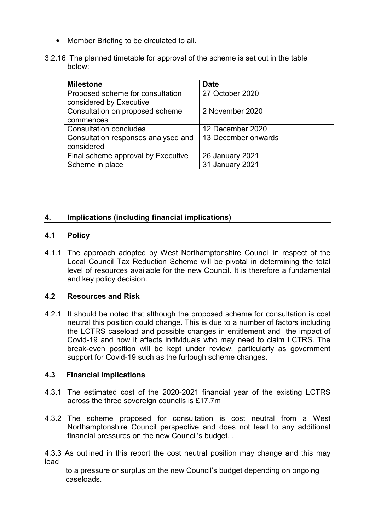- Member Briefing to be circulated to all.
- 3.2.16 The planned timetable for approval of the scheme is set out in the table below:

| <b>Milestone</b>                    | <b>Date</b>            |
|-------------------------------------|------------------------|
| Proposed scheme for consultation    | 27 October 2020        |
| considered by Executive             |                        |
| Consultation on proposed scheme     | 2 November 2020        |
| commences                           |                        |
| <b>Consultation concludes</b>       | 12 December 2020       |
| Consultation responses analysed and | 13 December onwards    |
| considered                          |                        |
| Final scheme approval by Executive  | <b>26 January 2021</b> |
| Scheme in place                     | 31 January 2021        |

# **4. Implications (including financial implications)**

#### **4.1 Policy**

4.1.1 The approach adopted by West Northamptonshire Council in respect of the Local Council Tax Reduction Scheme will be pivotal in determining the total level of resources available for the new Council. It is therefore a fundamental and key policy decision.

#### **4.2 Resources and Risk**

4.2.1 It should be noted that although the proposed scheme for consultation is cost neutral this position could change. This is due to a number of factors including the LCTRS caseload and possible changes in entitlement and the impact of Covid-19 and how it affects individuals who may need to claim LCTRS. The break-even position will be kept under review, particularly as government support for Covid-19 such as the furlough scheme changes.

#### **4.3 Financial Implications**

- 4.3.1 The estimated cost of the 2020-2021 financial year of the existing LCTRS across the three sovereign councils is £17.7m
- 4.3.2 The scheme proposed for consultation is cost neutral from a West Northamptonshire Council perspective and does not lead to any additional financial pressures on the new Council's budget. .

4.3.3 As outlined in this report the cost neutral position may change and this may lead

 to a pressure or surplus on the new Council's budget depending on ongoing caseloads.